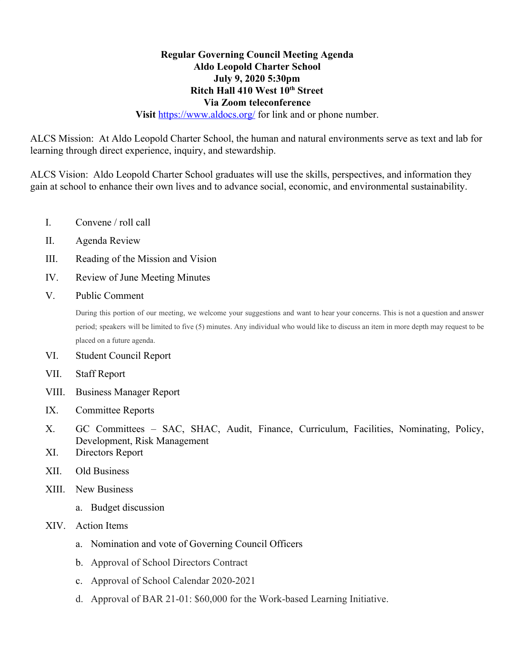## **Regular Governing Council Meeting Agenda Aldo Leopold Charter School July 9, 2020 5:30pm Ritch Hall 410 West 10th Street Via Zoom teleconference Visit https://www.aldocs.org/** for link and or phone number.

ALCS Mission: At Aldo Leopold Charter School, the human and natural environments serve as text and lab for

learning through direct experience, inquiry, and stewardship.

ALCS Vision: Aldo Leopold Charter School graduates will use the skills, perspectives, and information they gain at school to enhance their own lives and to advance social, economic, and environmental sustainability.

- I. Convene / roll call
- II. Agenda Review
- III. Reading of the Mission and Vision
- IV. Review of June Meeting Minutes
- V. Public Comment

During this portion of our meeting, we welcome your suggestions and want to hear your concerns. This is not a question and answer period; speakers will be limited to five (5) minutes. Any individual who would like to discuss an item in more depth may request to be placed on a future agenda.

- VI. Student Council Report
- VII. Staff Report
- VIII. Business Manager Report
- IX. Committee Reports
- X. GC Committees SAC, SHAC, Audit, Finance, Curriculum, Facilities, Nominating, Policy, Development, Risk Management
- XI. Directors Report
- XII. Old Business
- XIII. New Business
	- a. Budget discussion
- XIV. Action Items
	- a. Nomination and vote of Governing Council Officers
	- b. Approval of School Directors Contract
	- c. Approval of School Calendar 2020-2021
	- d. Approval of BAR 21-01: \$60,000 for the Work-based Learning Initiative.